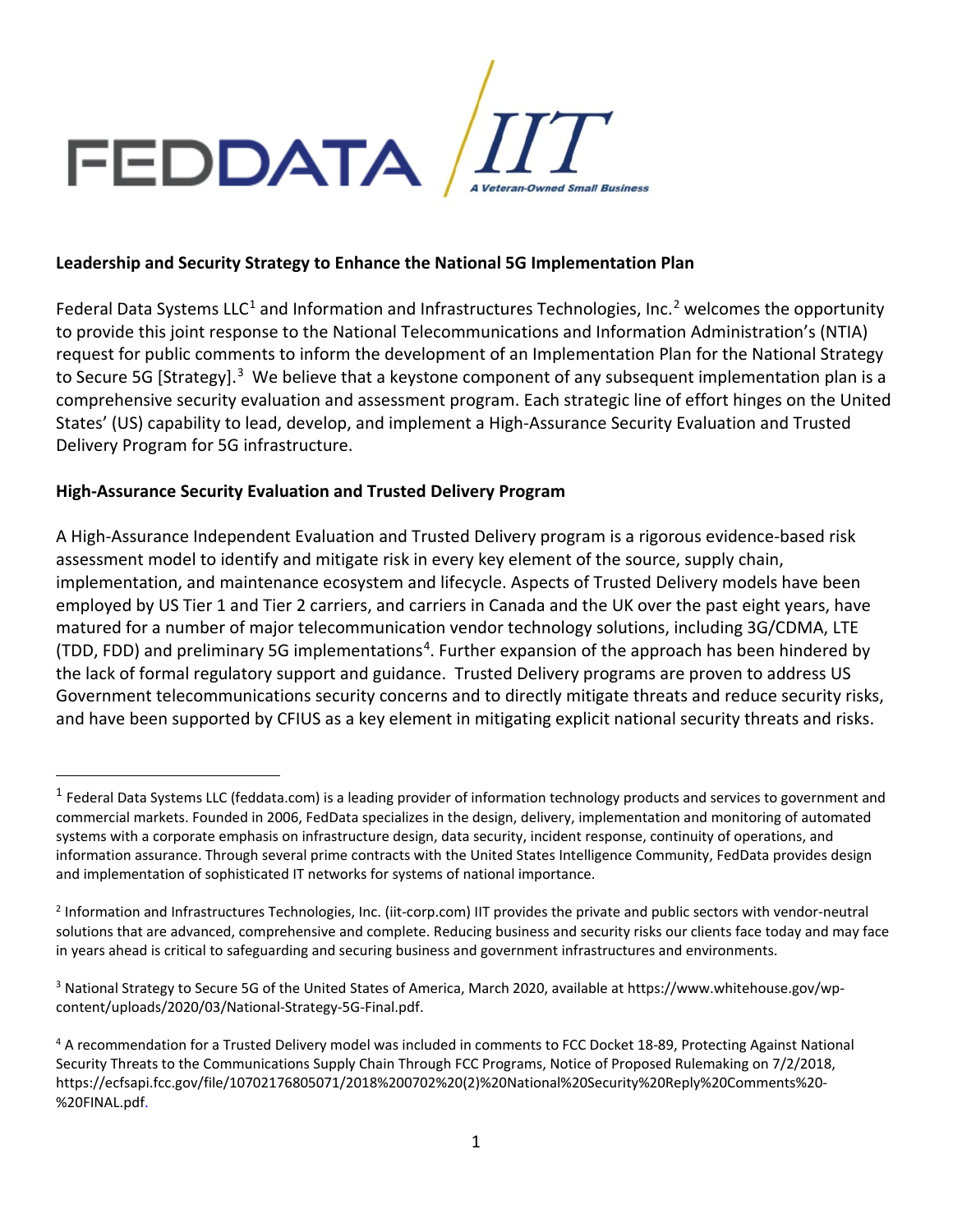

### **Leadership and Security Strategy to Enhance the National 5G Implementation Plan**

Federal Data Systems LLC<sup>[1](#page-0-0)</sup> and Information and Infrastructures Technologies, Inc.<sup>[2](#page-0-1)</sup> welcomes the opportunity to provide this joint response to the National Telecommunications and Information Administration's (NTIA) request for public comments to inform the development of an Implementation Plan for the National Strategy to Secure 5G [Strategy].<sup>[3](#page-0-2)</sup> We believe that a keystone component of any subsequent implementation plan is a comprehensive security evaluation and assessment program. Each strategic line of effort hinges on the United States' (US) capability to lead, develop, and implement a High-Assurance Security Evaluation and Trusted Delivery Program for 5G infrastructure.

## **High-Assurance Security Evaluation and Trusted Delivery Program**

A High-Assurance Independent Evaluation and Trusted Delivery program is a rigorous evidence-based risk assessment model to identify and mitigate risk in every key element of the source, supply chain, implementation, and maintenance ecosystem and lifecycle. Aspects of Trusted Delivery models have been employed by US Tier 1 and Tier 2 carriers, and carriers in Canada and the UK over the past eight years, have matured for a number of major telecommunication vendor technology solutions, including 3G/CDMA, LTE (TDD, FDD) and preliminary 5G implementations<sup>[4](#page-0-3)</sup>. Further expansion of the approach has been hindered by the lack of formal regulatory support and guidance. Trusted Delivery programs are proven to address US Government telecommunications security concerns and to directly mitigate threats and reduce security risks, and have been supported by CFIUS as a key element in mitigating explicit national security threats and risks.

<span id="page-0-0"></span> $1$  Federal Data Systems LLC (feddata.com) is a leading provider of information technology products and services to government and commercial markets. Founded in 2006, FedData specializes in the design, delivery, implementation and monitoring of automated systems with a corporate emphasis on infrastructure design, data security, incident response, continuity of operations, and information assurance. Through several prime contracts with the United States Intelligence Community, FedData provides design and implementation of sophisticated IT networks for systems of national importance.

<span id="page-0-1"></span><sup>2</sup> Information and Infrastructures Technologies, Inc. (iit-corp.com) IIT provides the private and public sectors with vendor-neutral solutions that are advanced, comprehensive and complete. Reducing business and security risks our clients face today and may face in years ahead is critical to safeguarding and securing business and government infrastructures and environments.

<span id="page-0-2"></span><sup>3</sup> National Strategy to Secure 5G of the United States of America, March 2020, available at https://www.whitehouse.gov/wpcontent/uploads/2020/03/National-Strategy-5G-Final.pdf.

<span id="page-0-3"></span><sup>4</sup> A recommendation for a Trusted Delivery model was included in comments to FCC Docket 18-89, Protecting Against National Security Threats to the Communications Supply Chain Through FCC Programs, Notice of Proposed Rulemaking on 7/2/2018, [https://ecfsapi.fcc.gov/file/10702176805071/2018%200702%20\(2\)%20National%20Security%20Reply%20Comments%20-](https://ecfsapi.fcc.gov/file/10702176805071/2018%200702%20(2)%20National%20Security%20Reply%20Comments%20-%20FINAL.pdf) [%20FINAL.pdf.](https://ecfsapi.fcc.gov/file/10702176805071/2018%200702%20(2)%20National%20Security%20Reply%20Comments%20-%20FINAL.pdf)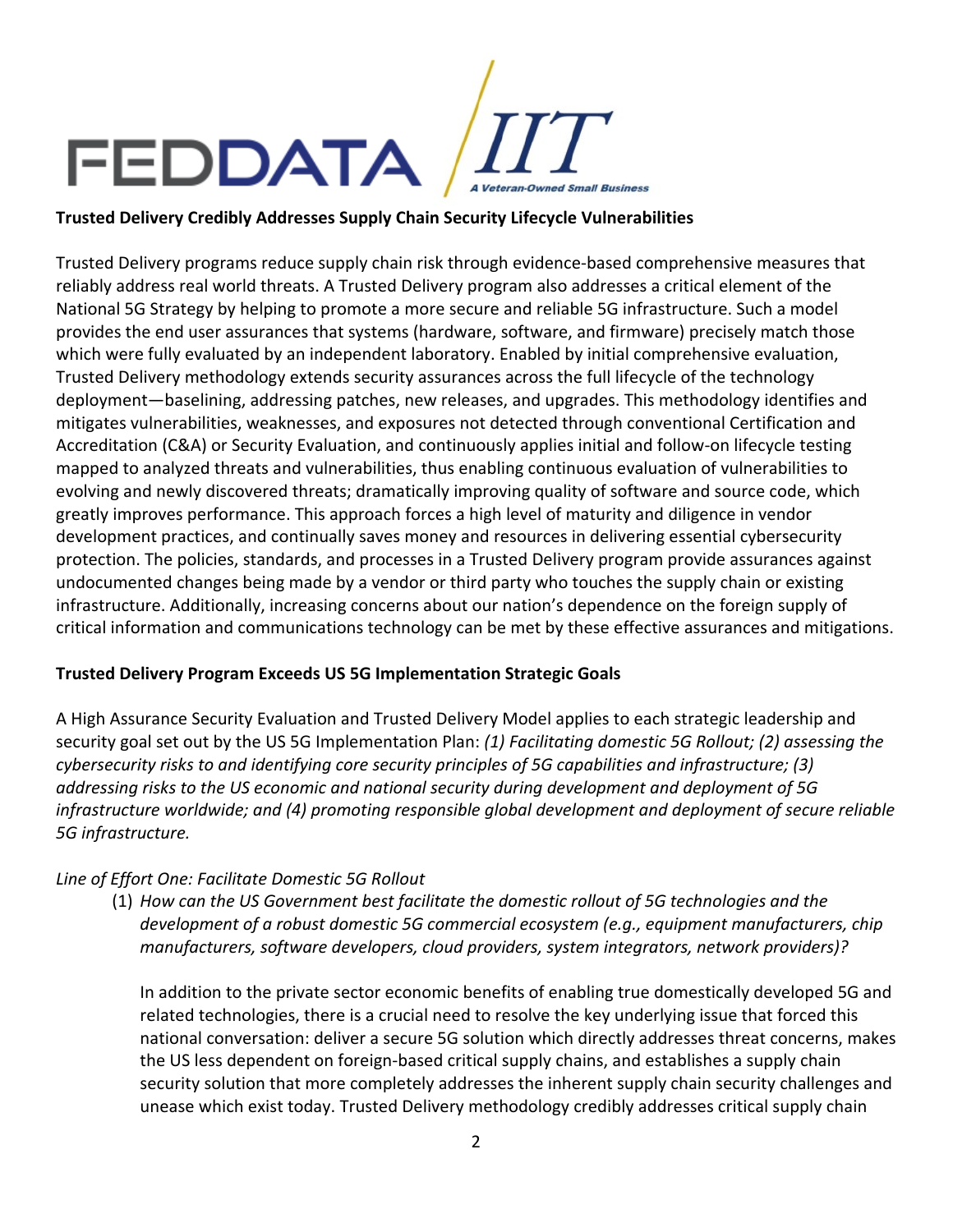

## **Trusted Delivery Credibly Addresses Supply Chain Security Lifecycle Vulnerabilities**

Trusted Delivery programs reduce supply chain risk through evidence-based comprehensive measures that reliably address real world threats. A Trusted Delivery program also addresses a critical element of the National 5G Strategy by helping to promote a more secure and reliable 5G infrastructure. Such a model provides the end user assurances that systems (hardware, software, and firmware) precisely match those which were fully evaluated by an independent laboratory. Enabled by initial comprehensive evaluation, Trusted Delivery methodology extends security assurances across the full lifecycle of the technology deployment—baselining, addressing patches, new releases, and upgrades. This methodology identifies and mitigates vulnerabilities, weaknesses, and exposures not detected through conventional Certification and Accreditation (C&A) or Security Evaluation, and continuously applies initial and follow-on lifecycle testing mapped to analyzed threats and vulnerabilities, thus enabling continuous evaluation of vulnerabilities to evolving and newly discovered threats; dramatically improving quality of software and source code, which greatly improves performance. This approach forces a high level of maturity and diligence in vendor development practices, and continually saves money and resources in delivering essential cybersecurity protection. The policies, standards, and processes in a Trusted Delivery program provide assurances against undocumented changes being made by a vendor or third party who touches the supply chain or existing infrastructure. Additionally, increasing concerns about our nation's dependence on the foreign supply of critical information and communications technology can be met by these effective assurances and mitigations.

### **Trusted Delivery Program Exceeds US 5G Implementation Strategic Goals**

A High Assurance Security Evaluation and Trusted Delivery Model applies to each strategic leadership and security goal set out by the US 5G Implementation Plan: *(1) Facilitating domestic 5G Rollout; (2) assessing the cybersecurity risks to and identifying core security principles of 5G capabilities and infrastructure; (3) addressing risks to the US economic and national security during development and deployment of 5G infrastructure worldwide; and (4) promoting responsible global development and deployment of secure reliable 5G infrastructure.*

## *Line of Effort One: Facilitate Domestic 5G Rollout*

(1) *How can the US Government best facilitate the domestic rollout of 5G technologies and the development of a robust domestic 5G commercial ecosystem (e.g., equipment manufacturers, chip manufacturers, software developers, cloud providers, system integrators, network providers)?*

In addition to the private sector economic benefits of enabling true domestically developed 5G and related technologies, there is a crucial need to resolve the key underlying issue that forced this national conversation: deliver a secure 5G solution which directly addresses threat concerns, makes the US less dependent on foreign-based critical supply chains, and establishes a supply chain security solution that more completely addresses the inherent supply chain security challenges and unease which exist today. Trusted Delivery methodology credibly addresses critical supply chain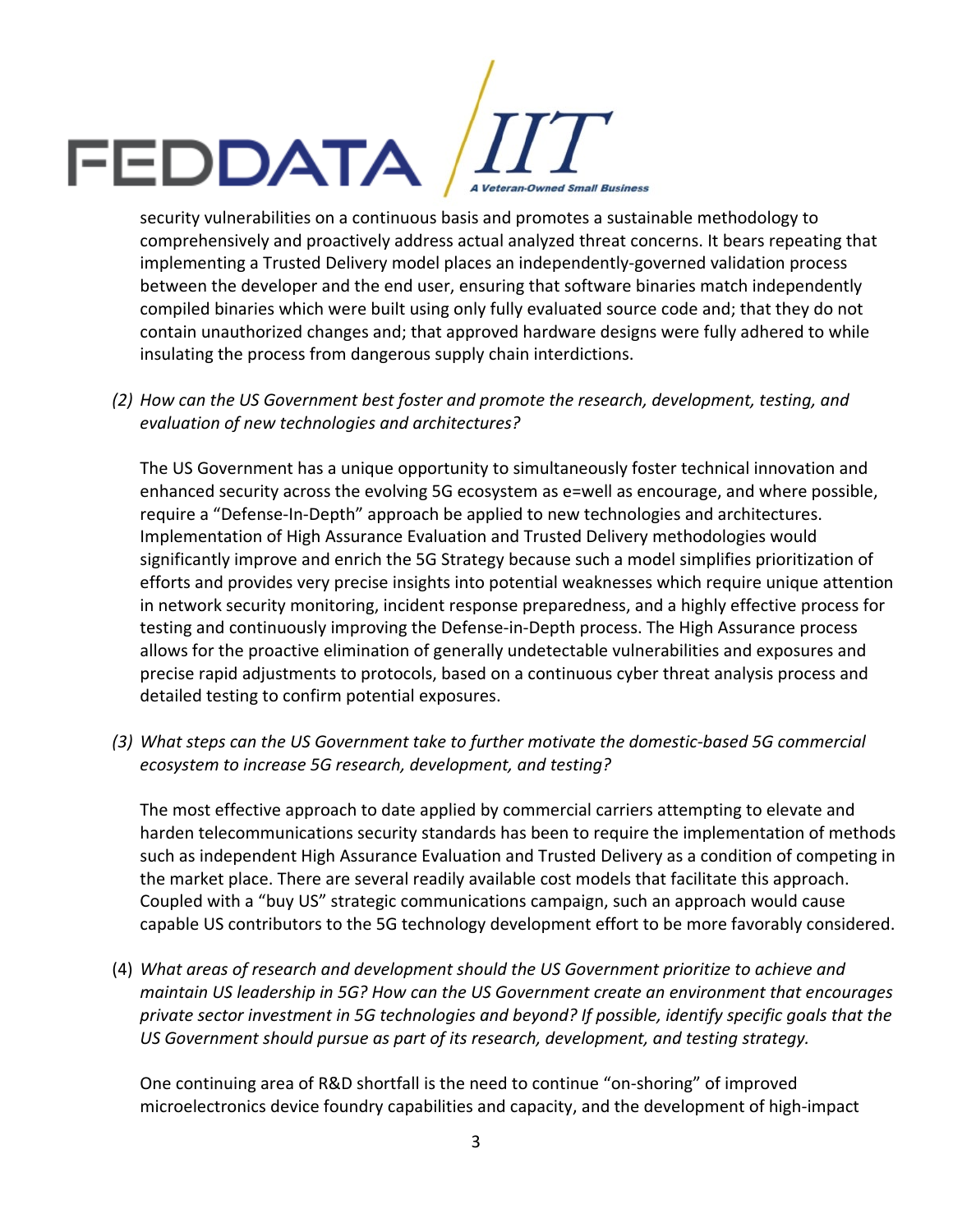

comprehensively and proactively address actual analyzed threat concerns. It bears repeating that implementing a Trusted Delivery model places an independently-governed validation process between the developer and the end user, ensuring that software binaries match independently compiled binaries which were built using only fully evaluated source code and; that they do not contain unauthorized changes and; that approved hardware designs were fully adhered to while insulating the process from dangerous supply chain interdictions.

*(2) How can the US Government best foster and promote the research, development, testing, and evaluation of new technologies and architectures?* 

The US Government has a unique opportunity to simultaneously foster technical innovation and enhanced security across the evolving 5G ecosystem as e=well as encourage, and where possible, require a "Defense-In-Depth" approach be applied to new technologies and architectures. Implementation of High Assurance Evaluation and Trusted Delivery methodologies would significantly improve and enrich the 5G Strategy because such a model simplifies prioritization of efforts and provides very precise insights into potential weaknesses which require unique attention in network security monitoring, incident response preparedness, and a highly effective process for testing and continuously improving the Defense-in-Depth process. The High Assurance process allows for the proactive elimination of generally undetectable vulnerabilities and exposures and precise rapid adjustments to protocols, based on a continuous cyber threat analysis process and detailed testing to confirm potential exposures.

*(3) What steps can the US Government take to further motivate the domestic-based 5G commercial ecosystem to increase 5G research, development, and testing?* 

The most effective approach to date applied by commercial carriers attempting to elevate and harden telecommunications security standards has been to require the implementation of methods such as independent High Assurance Evaluation and Trusted Delivery as a condition of competing in the market place. There are several readily available cost models that facilitate this approach. Coupled with a "buy US" strategic communications campaign, such an approach would cause capable US contributors to the 5G technology development effort to be more favorably considered.

(4) *What areas of research and development should the US Government prioritize to achieve and maintain US leadership in 5G? How can the US Government create an environment that encourages private sector investment in 5G technologies and beyond? If possible, identify specific goals that the US Government should pursue as part of its research, development, and testing strategy.*

One continuing area of R&D shortfall is the need to continue "on-shoring" of improved microelectronics device foundry capabilities and capacity, and the development of high-impact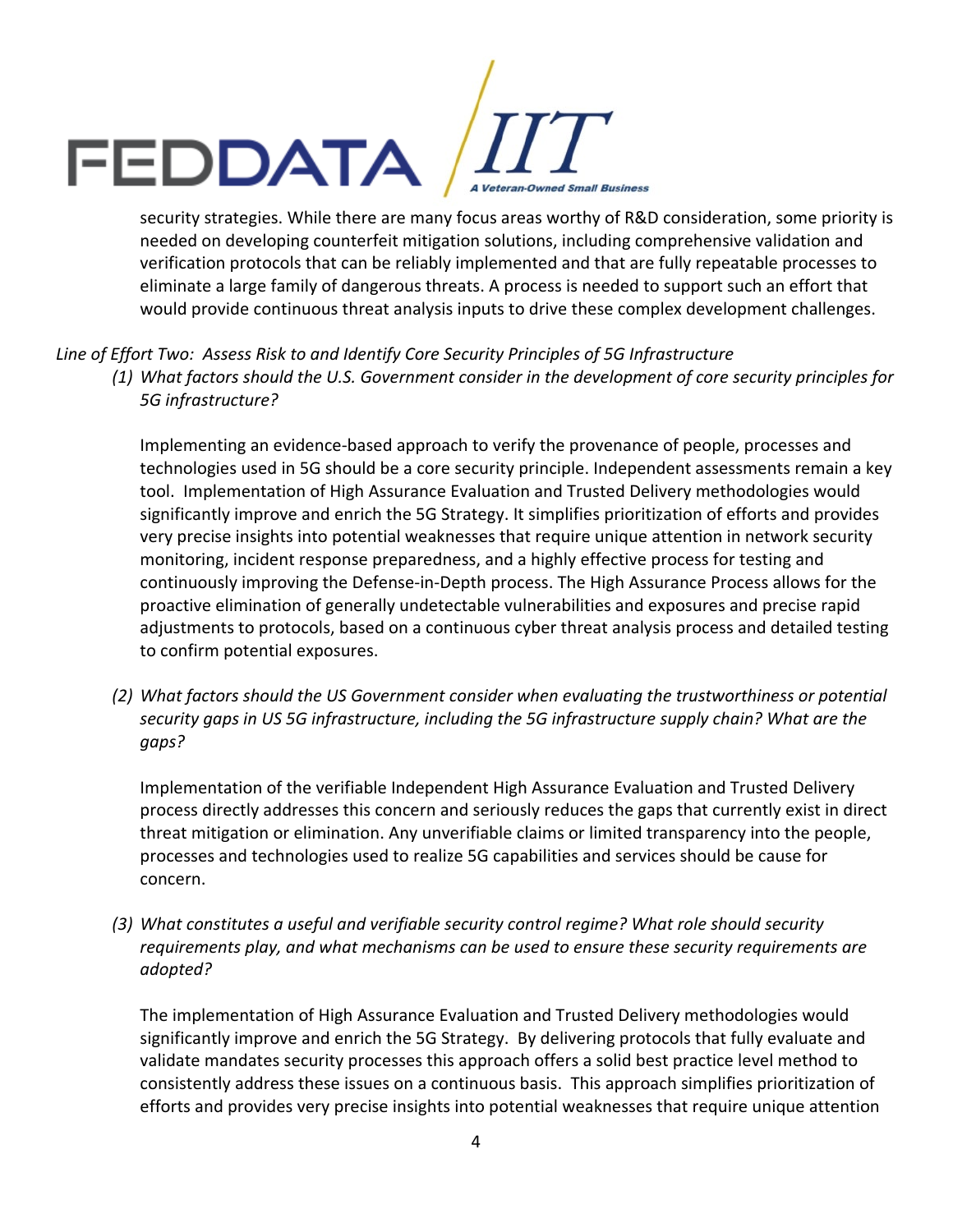# Security strategies. While there are many focus areas worthy of R&D consideration, some priority is Veteran-Owned Small Business

needed on developing counterfeit mitigation solutions, including comprehensive validation and verification protocols that can be reliably implemented and that are fully repeatable processes to eliminate a large family of dangerous threats. A process is needed to support such an effort that would provide continuous threat analysis inputs to drive these complex development challenges.

## *Line of Effort Two: Assess Risk to and Identify Core Security Principles of 5G Infrastructure (1) What factors should the U.S. Government consider in the development of core security principles for 5G infrastructure?*

Implementing an evidence-based approach to verify the provenance of people, processes and technologies used in 5G should be a core security principle. Independent assessments remain a key tool. Implementation of High Assurance Evaluation and Trusted Delivery methodologies would significantly improve and enrich the 5G Strategy. It simplifies prioritization of efforts and provides very precise insights into potential weaknesses that require unique attention in network security monitoring, incident response preparedness, and a highly effective process for testing and continuously improving the Defense-in-Depth process. The High Assurance Process allows for the proactive elimination of generally undetectable vulnerabilities and exposures and precise rapid adjustments to protocols, based on a continuous cyber threat analysis process and detailed testing to confirm potential exposures.

*(2) What factors should the US Government consider when evaluating the trustworthiness or potential security gaps in US 5G infrastructure, including the 5G infrastructure supply chain? What are the gaps?* 

Implementation of the verifiable Independent High Assurance Evaluation and Trusted Delivery process directly addresses this concern and seriously reduces the gaps that currently exist in direct threat mitigation or elimination. Any unverifiable claims or limited transparency into the people, processes and technologies used to realize 5G capabilities and services should be cause for concern.

*(3) What constitutes a useful and verifiable security control regime? What role should security requirements play, and what mechanisms can be used to ensure these security requirements are adopted?* 

The implementation of High Assurance Evaluation and Trusted Delivery methodologies would significantly improve and enrich the 5G Strategy. By delivering protocols that fully evaluate and validate mandates security processes this approach offers a solid best practice level method to consistently address these issues on a continuous basis. This approach simplifies prioritization of efforts and provides very precise insights into potential weaknesses that require unique attention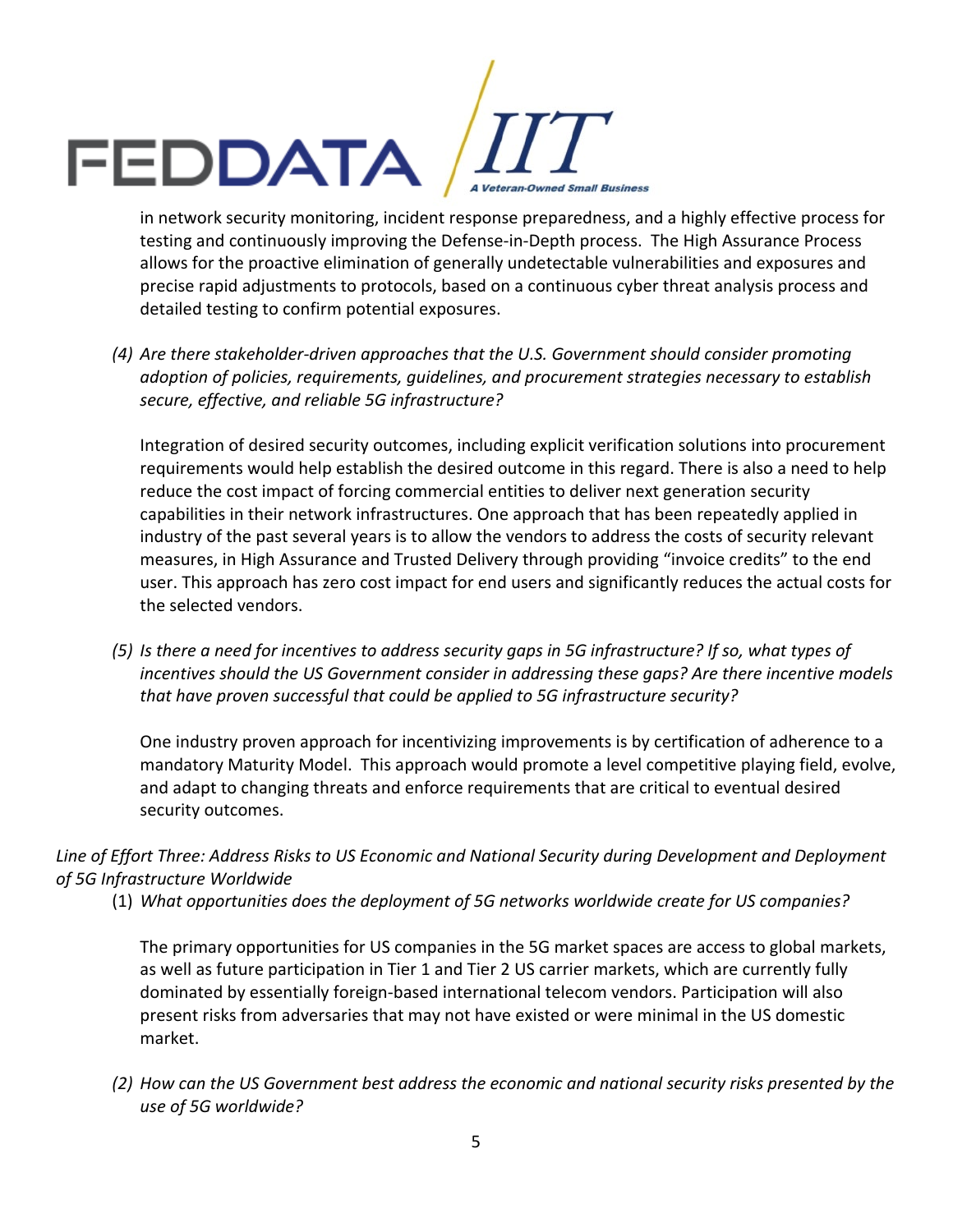

testing and continuously improving the Defense-in-Depth process. The High Assurance Process allows for the proactive elimination of generally undetectable vulnerabilities and exposures and precise rapid adjustments to protocols, based on a continuous cyber threat analysis process and detailed testing to confirm potential exposures.

*(4) Are there stakeholder-driven approaches that the U.S. Government should consider promoting adoption of policies, requirements, guidelines, and procurement strategies necessary to establish secure, effective, and reliable 5G infrastructure?*

Integration of desired security outcomes, including explicit verification solutions into procurement requirements would help establish the desired outcome in this regard. There is also a need to help reduce the cost impact of forcing commercial entities to deliver next generation security capabilities in their network infrastructures. One approach that has been repeatedly applied in industry of the past several years is to allow the vendors to address the costs of security relevant measures, in High Assurance and Trusted Delivery through providing "invoice credits" to the end user. This approach has zero cost impact for end users and significantly reduces the actual costs for the selected vendors.

*(5) Is there a need for incentives to address security gaps in 5G infrastructure? If so, what types of incentives should the US Government consider in addressing these gaps? Are there incentive models that have proven successful that could be applied to 5G infrastructure security?*

One industry proven approach for incentivizing improvements is by certification of adherence to a mandatory Maturity Model. This approach would promote a level competitive playing field, evolve, and adapt to changing threats and enforce requirements that are critical to eventual desired security outcomes.

## *Line of Effort Three: Address Risks to US Economic and National Security during Development and Deployment of 5G Infrastructure Worldwide*

(1) *What opportunities does the deployment of 5G networks worldwide create for US companies?* 

The primary opportunities for US companies in the 5G market spaces are access to global markets, as well as future participation in Tier 1 and Tier 2 US carrier markets, which are currently fully dominated by essentially foreign-based international telecom vendors. Participation will also present risks from adversaries that may not have existed or were minimal in the US domestic market.

*(2) How can the US Government best address the economic and national security risks presented by the use of 5G worldwide?*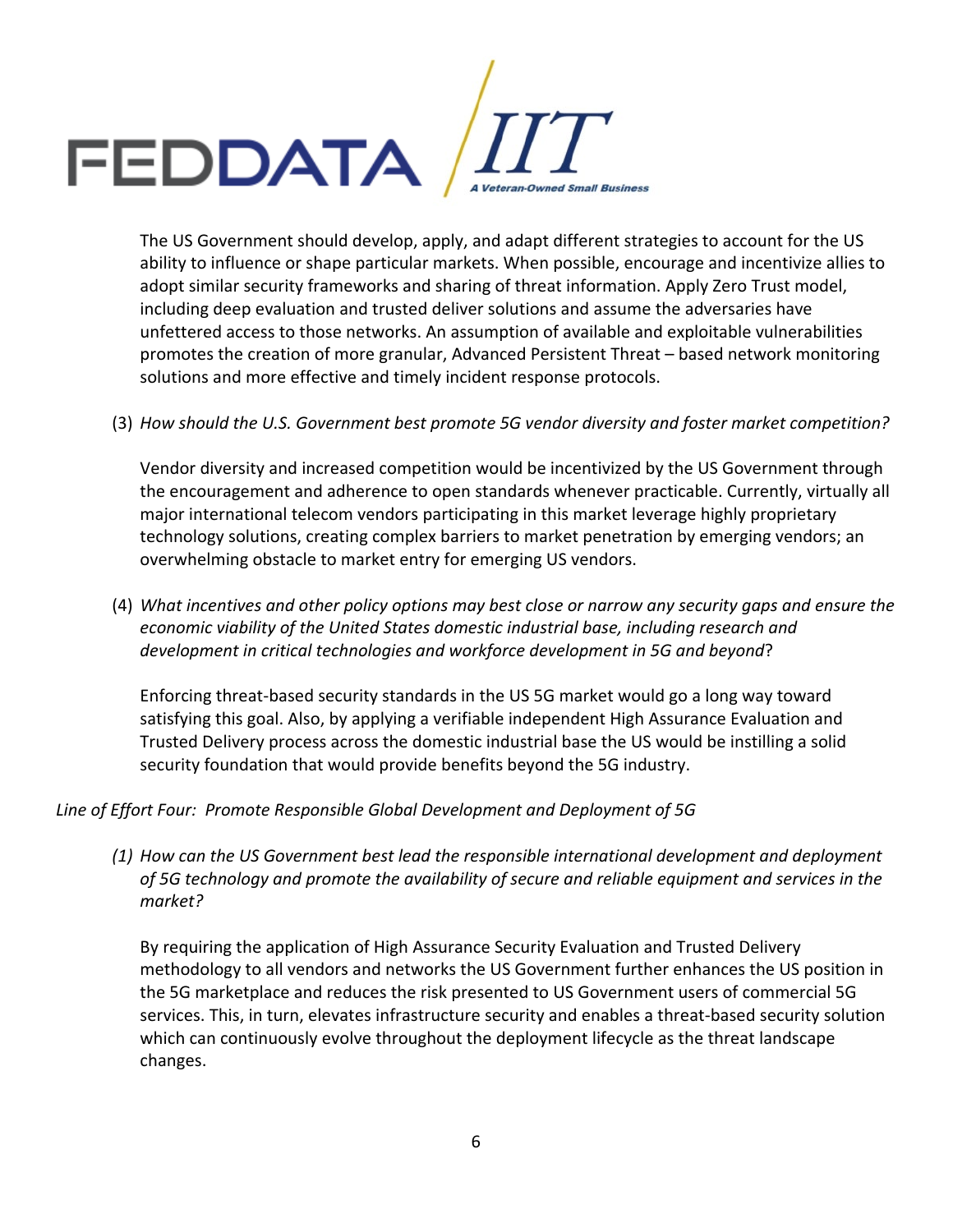

The US Government should develop, apply, and adapt different strategies to account for the US ability to influence or shape particular markets. When possible, encourage and incentivize allies to adopt similar security frameworks and sharing of threat information. Apply Zero Trust model, including deep evaluation and trusted deliver solutions and assume the adversaries have unfettered access to those networks. An assumption of available and exploitable vulnerabilities promotes the creation of more granular, Advanced Persistent Threat – based network monitoring solutions and more effective and timely incident response protocols.

### (3) *How should the U.S. Government best promote 5G vendor diversity and foster market competition?*

Vendor diversity and increased competition would be incentivized by the US Government through the encouragement and adherence to open standards whenever practicable. Currently, virtually all major international telecom vendors participating in this market leverage highly proprietary technology solutions, creating complex barriers to market penetration by emerging vendors; an overwhelming obstacle to market entry for emerging US vendors.

(4) *What incentives and other policy options may best close or narrow any security gaps and ensure the economic viability of the United States domestic industrial base, including research and development in critical technologies and workforce development in 5G and beyond*?

Enforcing threat-based security standards in the US 5G market would go a long way toward satisfying this goal. Also, by applying a verifiable independent High Assurance Evaluation and Trusted Delivery process across the domestic industrial base the US would be instilling a solid security foundation that would provide benefits beyond the 5G industry.

### *Line of Effort Four: Promote Responsible Global Development and Deployment of 5G*

*(1) How can the US Government best lead the responsible international development and deployment of 5G technology and promote the availability of secure and reliable equipment and services in the market?* 

By requiring the application of High Assurance Security Evaluation and Trusted Delivery methodology to all vendors and networks the US Government further enhances the US position in the 5G marketplace and reduces the risk presented to US Government users of commercial 5G services. This, in turn, elevates infrastructure security and enables a threat-based security solution which can continuously evolve throughout the deployment lifecycle as the threat landscape changes.